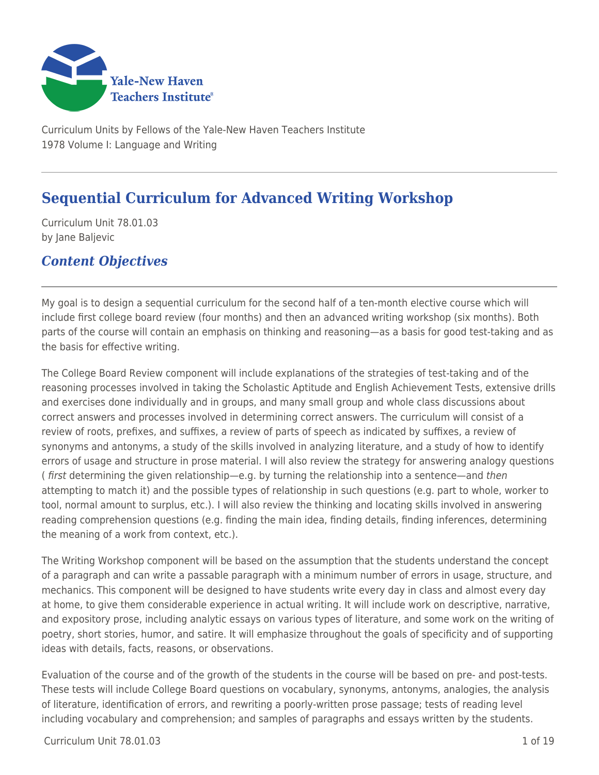

Curriculum Units by Fellows of the Yale-New Haven Teachers Institute 1978 Volume I: Language and Writing

# **Sequential Curriculum for Advanced Writing Workshop**

Curriculum Unit 78.01.03 by Jane Baljevic

## *Content Objectives*

My goal is to design a sequential curriculum for the second half of a ten-month elective course which will include first college board review (four months) and then an advanced writing workshop (six months). Both parts of the course will contain an emphasis on thinking and reasoning—as a basis for good test-taking and as the basis for effective writing.

The College Board Review component will include explanations of the strategies of test-taking and of the reasoning processes involved in taking the Scholastic Aptitude and English Achievement Tests, extensive drills and exercises done individually and in groups, and many small group and whole class discussions about correct answers and processes involved in determining correct answers. The curriculum will consist of a review of roots, prefixes, and suffixes, a review of parts of speech as indicated by suffixes, a review of synonyms and antonyms, a study of the skills involved in analyzing literature, and a study of how to identify errors of usage and structure in prose material. I will also review the strategy for answering analogy questions ( first determining the given relationship—e.g. by turning the relationship into a sentence—and then attempting to match it) and the possible types of relationship in such questions (e.g. part to whole, worker to tool, normal amount to surplus, etc.). I will also review the thinking and locating skills involved in answering reading comprehension questions (e.g. finding the main idea, finding details, finding inferences, determining the meaning of a work from context, etc.).

The Writing Workshop component will be based on the assumption that the students understand the concept of a paragraph and can write a passable paragraph with a minimum number of errors in usage, structure, and mechanics. This component will be designed to have students write every day in class and almost every day at home, to give them considerable experience in actual writing. It will include work on descriptive, narrative, and expository prose, including analytic essays on various types of literature, and some work on the writing of poetry, short stories, humor, and satire. It will emphasize throughout the goals of specificity and of supporting ideas with details, facts, reasons, or observations.

Evaluation of the course and of the growth of the students in the course will be based on pre- and post-tests. These tests will include College Board questions on vocabulary, synonyms, antonyms, analogies, the analysis of literature, identification of errors, and rewriting a poorly-written prose passage; tests of reading level including vocabulary and comprehension; and samples of paragraphs and essays written by the students.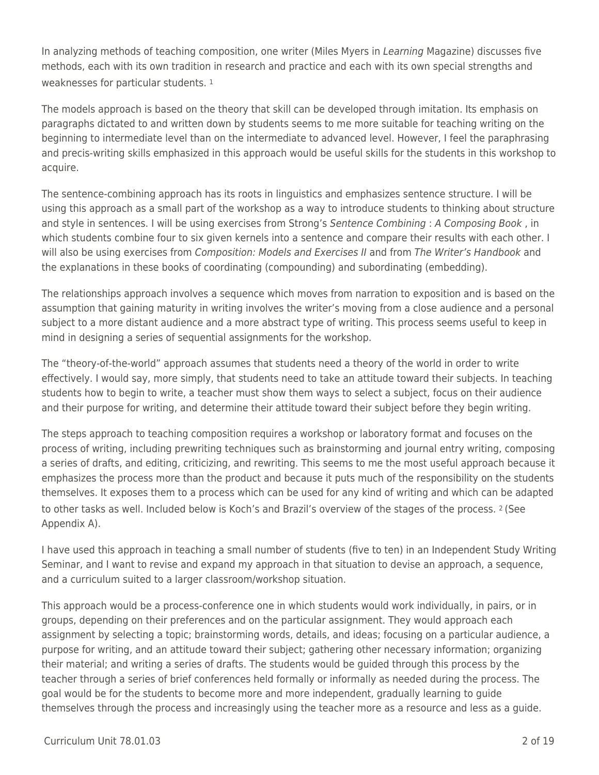In analyzing methods of teaching composition, one writer (Miles Myers in Learning Magazine) discusses five methods, each with its own tradition in research and practice and each with its own special strengths and weaknesses for particular students.<sup>1</sup>

The models approach is based on the theory that skill can be developed through imitation. Its emphasis on paragraphs dictated to and written down by students seems to me more suitable for teaching writing on the beginning to intermediate level than on the intermediate to advanced level. However, I feel the paraphrasing and precis-writing skills emphasized in this approach would be useful skills for the students in this workshop to acquire.

The sentence-combining approach has its roots in linguistics and emphasizes sentence structure. I will be using this approach as a small part of the workshop as a way to introduce students to thinking about structure and style in sentences. I will be using exercises from Strong's Sentence Combining : A Composing Book, in which students combine four to six given kernels into a sentence and compare their results with each other. I will also be using exercises from Composition: Models and Exercises II and from The Writer's Handbook and the explanations in these books of coordinating (compounding) and subordinating (embedding).

The relationships approach involves a sequence which moves from narration to exposition and is based on the assumption that gaining maturity in writing involves the writer's moving from a close audience and a personal subject to a more distant audience and a more abstract type of writing. This process seems useful to keep in mind in designing a series of sequential assignments for the workshop.

The "theory-of-the-world" approach assumes that students need a theory of the world in order to write effectively. I would say, more simply, that students need to take an attitude toward their subjects. In teaching students how to begin to write, a teacher must show them ways to select a subject, focus on their audience and their purpose for writing, and determine their attitude toward their subject before they begin writing.

The steps approach to teaching composition requires a workshop or laboratory format and focuses on the process of writing, including prewriting techniques such as brainstorming and journal entry writing, composing a series of drafts, and editing, criticizing, and rewriting. This seems to me the most useful approach because it emphasizes the process more than the product and because it puts much of the responsibility on the students themselves. It exposes them to a process which can be used for any kind of writing and which can be adapted to other tasks as well. Included below is Koch's and Brazil's overview of the stages of the process. 2 (See Appendix A).

I have used this approach in teaching a small number of students (five to ten) in an Independent Study Writing Seminar, and I want to revise and expand my approach in that situation to devise an approach, a sequence, and a curriculum suited to a larger classroom/workshop situation.

This approach would be a process-conference one in which students would work individually, in pairs, or in groups, depending on their preferences and on the particular assignment. They would approach each assignment by selecting a topic; brainstorming words, details, and ideas; focusing on a particular audience, a purpose for writing, and an attitude toward their subject; gathering other necessary information; organizing their material; and writing a series of drafts. The students would be guided through this process by the teacher through a series of brief conferences held formally or informally as needed during the process. The goal would be for the students to become more and more independent, gradually learning to guide themselves through the process and increasingly using the teacher more as a resource and less as a guide.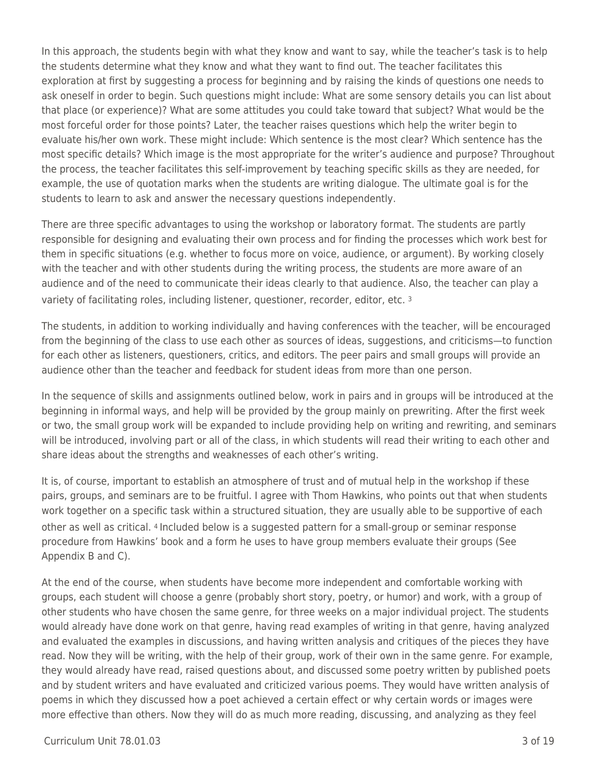In this approach, the students begin with what they know and want to say, while the teacher's task is to help the students determine what they know and what they want to find out. The teacher facilitates this exploration at first by suggesting a process for beginning and by raising the kinds of questions one needs to ask oneself in order to begin. Such questions might include: What are some sensory details you can list about that place (or experience)? What are some attitudes you could take toward that subject? What would be the most forceful order for those points? Later, the teacher raises questions which help the writer begin to evaluate his/her own work. These might include: Which sentence is the most clear? Which sentence has the most specific details? Which image is the most appropriate for the writer's audience and purpose? Throughout the process, the teacher facilitates this self-improvement by teaching specific skills as they are needed, for example, the use of quotation marks when the students are writing dialogue. The ultimate goal is for the students to learn to ask and answer the necessary questions independently.

There are three specific advantages to using the workshop or laboratory format. The students are partly responsible for designing and evaluating their own process and for finding the processes which work best for them in specific situations (e.g. whether to focus more on voice, audience, or argument). By working closely with the teacher and with other students during the writing process, the students are more aware of an audience and of the need to communicate their ideas clearly to that audience. Also, the teacher can play a variety of facilitating roles, including listener, questioner, recorder, editor, etc. <sup>3</sup>

The students, in addition to working individually and having conferences with the teacher, will be encouraged from the beginning of the class to use each other as sources of ideas, suggestions, and criticisms—to function for each other as listeners, questioners, critics, and editors. The peer pairs and small groups will provide an audience other than the teacher and feedback for student ideas from more than one person.

In the sequence of skills and assignments outlined below, work in pairs and in groups will be introduced at the beginning in informal ways, and help will be provided by the group mainly on prewriting. After the first week or two, the small group work will be expanded to include providing help on writing and rewriting, and seminars will be introduced, involving part or all of the class, in which students will read their writing to each other and share ideas about the strengths and weaknesses of each other's writing.

It is, of course, important to establish an atmosphere of trust and of mutual help in the workshop if these pairs, groups, and seminars are to be fruitful. I agree with Thom Hawkins, who points out that when students work together on a specific task within a structured situation, they are usually able to be supportive of each other as well as critical. 4 Included below is a suggested pattern for a small-group or seminar response procedure from Hawkins' book and a form he uses to have group members evaluate their groups (See Appendix B and C).

At the end of the course, when students have become more independent and comfortable working with groups, each student will choose a genre (probably short story, poetry, or humor) and work, with a group of other students who have chosen the same genre, for three weeks on a major individual project. The students would already have done work on that genre, having read examples of writing in that genre, having analyzed and evaluated the examples in discussions, and having written analysis and critiques of the pieces they have read. Now they will be writing, with the help of their group, work of their own in the same genre. For example, they would already have read, raised questions about, and discussed some poetry written by published poets and by student writers and have evaluated and criticized various poems. They would have written analysis of poems in which they discussed how a poet achieved a certain effect or why certain words or images were more effective than others. Now they will do as much more reading, discussing, and analyzing as they feel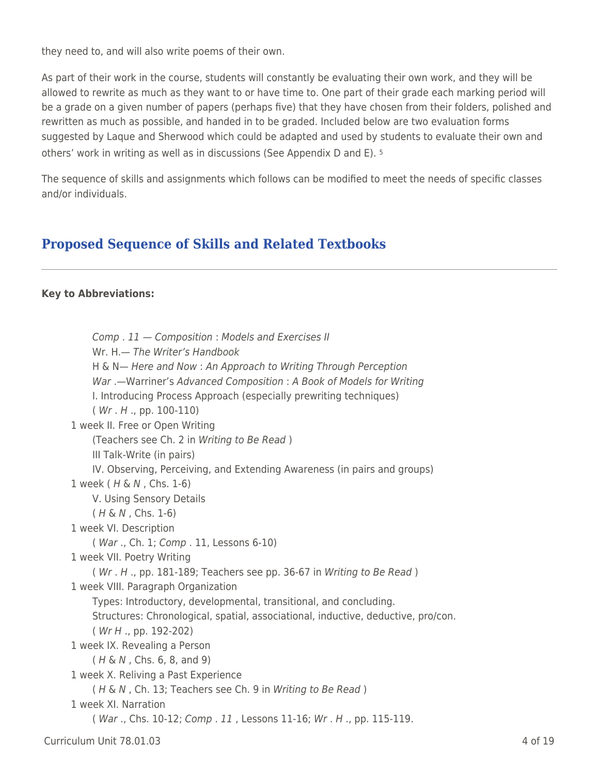they need to, and will also write poems of their own.

As part of their work in the course, students will constantly be evaluating their own work, and they will be allowed to rewrite as much as they want to or have time to. One part of their grade each marking period will be a grade on a given number of papers (perhaps five) that they have chosen from their folders, polished and rewritten as much as possible, and handed in to be graded. Included below are two evaluation forms suggested by Laque and Sherwood which could be adapted and used by students to evaluate their own and others' work in writing as well as in discussions (See Appendix D and E). <sup>5</sup>

The sequence of skills and assignments which follows can be modified to meet the needs of specific classes and/or individuals.

## **Proposed Sequence of Skills and Related Textbooks**

### **Key to Abbreviations:**

 $Comp. 11 - Composition: Models and Exercises II$ Wr. H.— The Writer's Handbook H & N— Here and Now : An Approach to Writing Through Perception War .—Warriner's Advanced Composition : A Book of Models for Writing I. Introducing Process Approach (especially prewriting techniques)  $(Wr \cdot H \cdot p p \cdot 100-110)$ 1 week II. Free or Open Writing (Teachers see Ch. 2 in Writing to Be Read) III Talk-Write (in pairs) IV. Observing, Perceiving, and Extending Awareness (in pairs and groups) 1 week ( H & N , Chs. 1-6) V. Using Sensory Details  $(H & N, Chs. 1-6)$ 1 week VI. Description ( War ., Ch. 1; Comp . 11, Lessons 6-10) 1 week VII. Poetry Writing  $(Wr H.$ , pp. 181-189; Teachers see pp. 36-67 in Writing to Be Read ) 1 week VIII. Paragraph Organization Types: Introductory, developmental, transitional, and concluding. Structures: Chronological, spatial, associational, inductive, deductive, pro/con. \_\_\_\_ ( Wr H ., pp. 192-202) 1 week IX. Revealing a Person  $(H \& N, Chs. 6, 8, and 9)$ 1 week X. Reliving a Past Experience  $(H \& N, Ch. 13; Teachers see Ch. 9 in Writing to Be Read)$ 1 week XI. Narration ( War ., Chs. 10-12; Comp . 11, Lessons 11-16; Wr . H ., pp. 115-119.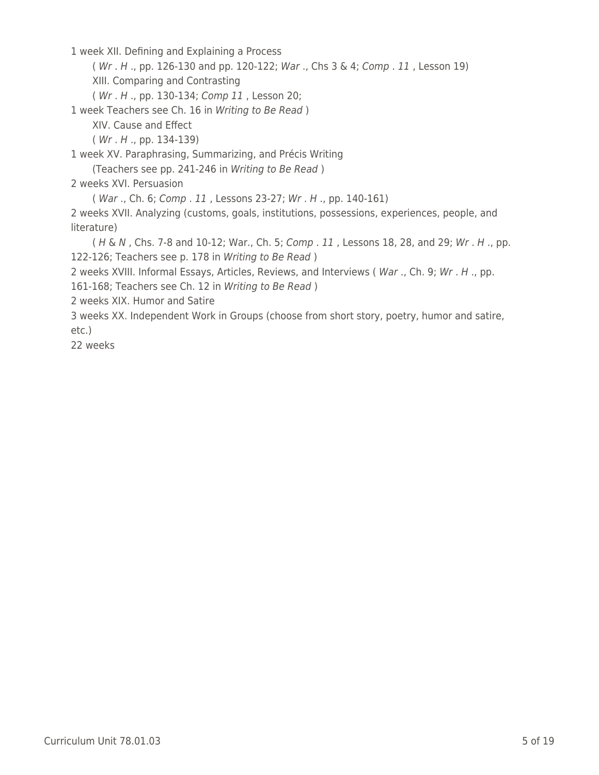1 week XII. Defining and Explaining a Process

( Wr . H ., pp. 126-130 and pp. 120-122; War ., Chs 3 & 4; Comp . 11, Lesson 19) XIII. Comparing and Contrasting

\_\_\_\_ ( Wr . H ., pp. 130-134; Comp 11 , Lesson 20;

1 week Teachers see Ch. 16 in Writing to Be Read )

\_\_\_\_ XIV. Cause and Effect

\_\_\_\_ ( Wr . H ., pp. 134-139)

1 week XV. Paraphrasing, Summarizing, and Précis Writing

(Teachers see pp. 241-246 in Writing to Be Read)

2 weeks XVI. Persuasion

\_\_\_\_ ( War ., Ch. 6; Comp . 11 , Lessons 23-27; Wr . H ., pp. 140-161)

2 weeks XVII. Analyzing (customs, goals, institutions, possessions, experiences, people, and literature)

(  $H \& N$  , Chs. 7-8 and 10-12; War., Ch. 5; Comp . 11 , Lessons 18, 28, and 29; Wr . H ., pp. 122-126; Teachers see p. 178 in Writing to Be Read )

2 weeks XVIII. Informal Essays, Articles, Reviews, and Interviews ( War ., Ch. 9; Wr . H ., pp.

161-168; Teachers see Ch. 12 in Writing to Be Read )

2 weeks XIX. Humor and Satire

3 weeks XX. Independent Work in Groups (choose from short story, poetry, humor and satire, etc.)

22 weeks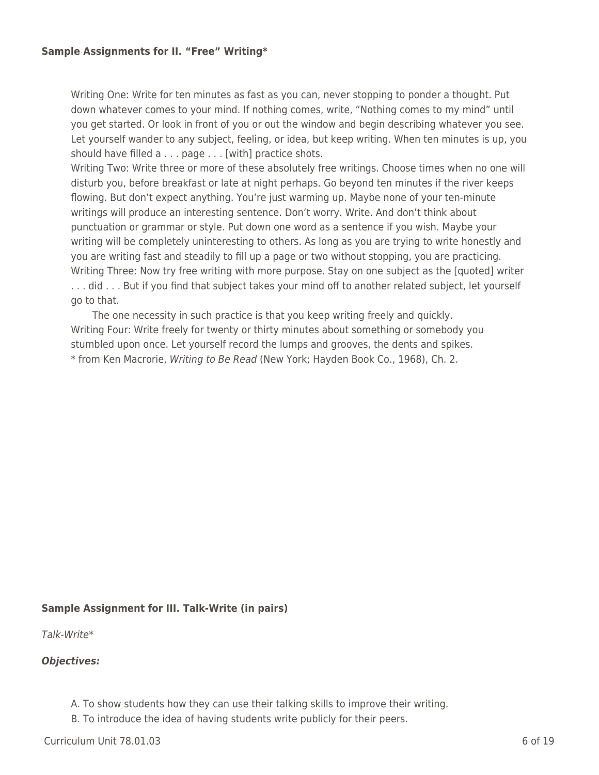### **Sample Assignments for II. "Free" Writing\***

Writing One: Write for ten minutes as fast as you can, never stopping to ponder a thought. Put down whatever comes to your mind. If nothing comes, write, "Nothing comes to my mind" until you get started. Or look in front of you or out the window and begin describing whatever you see. Let yourself wander to any subject, feeling, or idea, but keep writing. When ten minutes is up, you should have filled a . . . page . . . [with] practice shots.

Writing Two: Write three or more of these absolutely free writings. Choose times when no one will disturb you, before breakfast or late at night perhaps. Go beyond ten minutes if the river keeps flowing. But don't expect anything. You're just warming up. Maybe none of your ten-minute writings will produce an interesting sentence. Don't worry. Write. And don't think about punctuation or grammar or style. Put down one word as a sentence if you wish. Maybe your writing will be completely uninteresting to others. As long as you are trying to write honestly and you are writing fast and steadily to fill up a page or two without stopping, you are practicing. Writing Three: Now try free writing with more purpose. Stay on one subject as the [quoted] writer ... did ... But if you find that subject takes your mind off to another related subject, let yourself go to that.

The one necessity in such practice is that you keep writing freely and quickly. Writing Four: Write freely for twenty or thirty minutes about something or somebody you stumbled upon once. Let yourself record the lumps and grooves, the dents and spikes. \* from Ken Macrorie, Writing to Be Read (New York; Hayden Book Co., 1968), Ch. 2.

### **Sample Assignment for III. Talk-Write (in pairs)**

Talk-Write\*

### *Objectives:*

- A. To show students how they can use their talking skills to improve their writing.
- B. To introduce the idea of having students write publicly for their peers.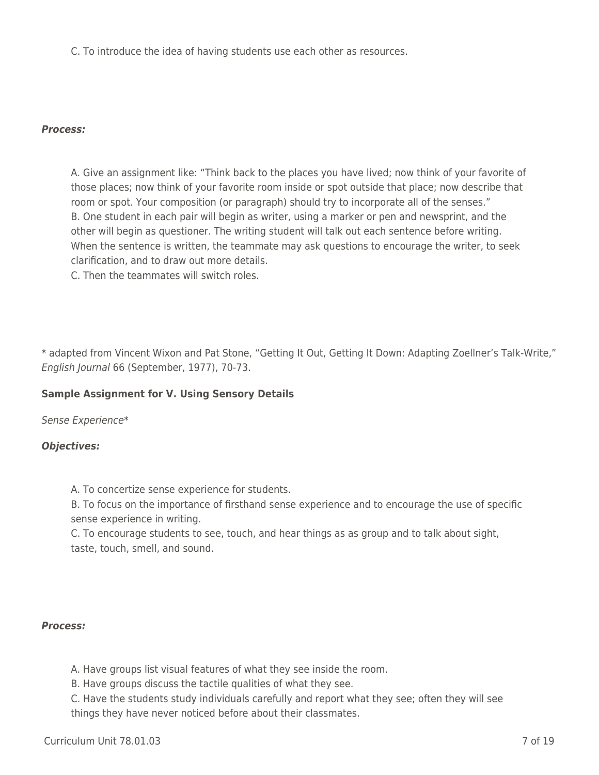C. To introduce the idea of having students use each other as resources.

### *Process:*

A. Give an assignment like: "Think back to the places you have lived; now think of your favorite of those places; now think of your favorite room inside or spot outside that place; now describe that room or spot. Your composition (or paragraph) should try to incorporate all of the senses." B. One student in each pair will begin as writer, using a marker or pen and newsprint, and the other will begin as questioner. The writing student will talk out each sentence before writing. When the sentence is written, the teammate may ask questions to encourage the writer, to seek clarification, and to draw out more details.

C. Then the teammates will switch roles.

\* adapted from Vincent Wixon and Pat Stone, "Getting It Out, Getting It Down: Adapting Zoellner's Talk-Write," English Journal 66 (September, 1977), 70-73.

### **Sample Assignment for V. Using Sensory Details**

Sense Experience\*

### *Objectives:*

A. To concertize sense experience for students.

B. To focus on the importance of firsthand sense experience and to encourage the use of specific sense experience in writing.

C. To encourage students to see, touch, and hear things as as group and to talk about sight, taste, touch, smell, and sound.

#### *Process:*

A. Have groups list visual features of what they see inside the room.

B. Have groups discuss the tactile qualities of what they see.

C. Have the students study individuals carefully and report what they see; often they will see things they have never noticed before about their classmates.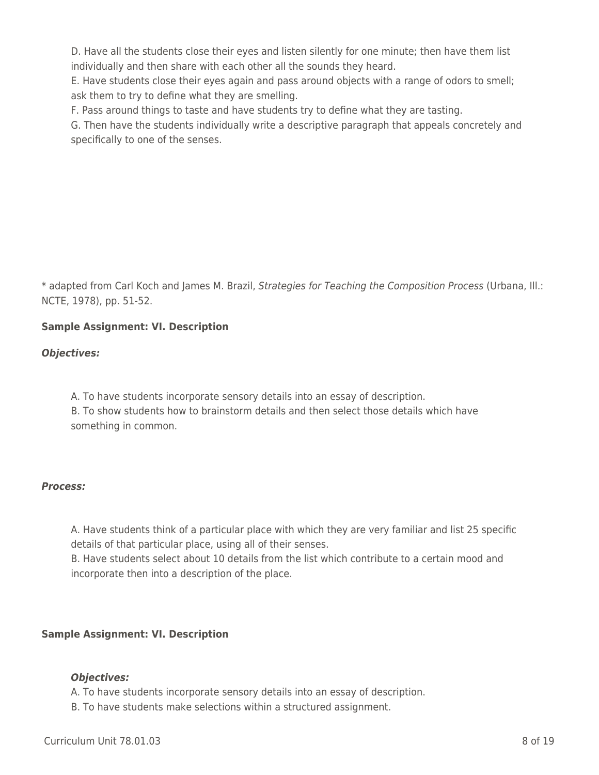D. Have all the students close their eyes and listen silently for one minute; then have them list individually and then share with each other all the sounds they heard.

E. Have students close their eyes again and pass around objects with a range of odors to smell; ask them to try to define what they are smelling.

F. Pass around things to taste and have students try to define what they are tasting.

G. Then have the students individually write a descriptive paragraph that appeals concretely and specifically to one of the senses.

\* adapted from Carl Koch and James M. Brazil, Strategies for Teaching the Composition Process (Urbana, Ill.: NCTE, 1978), pp. 51-52.

### **Sample Assignment: VI. Description**

### *Objectives:*

A. To have students incorporate sensory details into an essay of description. B. To show students how to brainstorm details and then select those details which have something in common.

### *Process:*

A. Have students think of a particular place with which they are very familiar and list 25 specific details of that particular place, using all of their senses.

B. Have students select about 10 details from the list which contribute to a certain mood and incorporate then into a description of the place.

### **Sample Assignment: VI. Description**

### *Objectives:*

A. To have students incorporate sensory details into an essay of description.

B. To have students make selections within a structured assignment.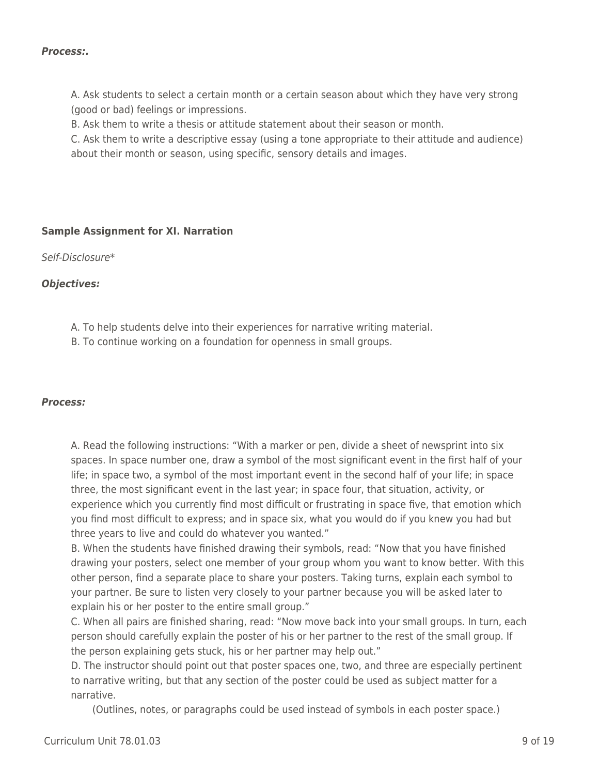#### *Process:.*

A. Ask students to select a certain month or a certain season about which they have very strong (good or bad) feelings or impressions.

B. Ask them to write a thesis or attitude statement about their season or month.

C. Ask them to write a descriptive essay (using a tone appropriate to their attitude and audience) about their month or season, using specific, sensory details and images.

### **Sample Assignment for XI. Narration**

Self-Disclosure\*

### *Objectives:*

- A. To help students delve into their experiences for narrative writing material.
- B. To continue working on a foundation for openness in small groups.

### *Process:*

A. Read the following instructions: "With a marker or pen, divide a sheet of newsprint into six spaces. In space number one, draw a symbol of the most significant event in the first half of your life; in space two, a symbol of the most important event in the second half of your life; in space three, the most significant event in the last year; in space four, that situation, activity, or experience which you currently find most difficult or frustrating in space five, that emotion which you find most difficult to express; and in space six, what you would do if you knew you had but three years to live and could do whatever you wanted."

B. When the students have finished drawing their symbols, read: "Now that you have finished drawing your posters, select one member of your group whom you want to know better. With this other person, find a separate place to share your posters. Taking turns, explain each symbol to your partner. Be sure to listen very closely to your partner because you will be asked later to explain his or her poster to the entire small group."

C. When all pairs are finished sharing, read: "Now move back into your small groups. In turn, each person should carefully explain the poster of his or her partner to the rest of the small group. If the person explaining gets stuck, his or her partner may help out."

D. The instructor should point out that poster spaces one, two, and three are especially pertinent to narrative writing, but that any section of the poster could be used as subject matter for a narrative.

(Outlines, notes, or paragraphs could be used instead of symbols in each poster space.)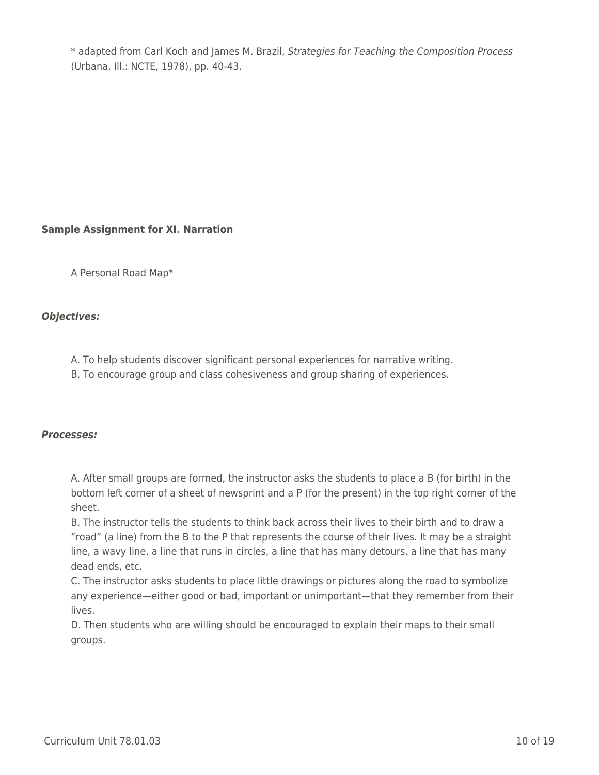\* adapted from Carl Koch and James M. Brazil, Strategies for Teaching the Composition Process (Urbana, Ill.: NCTE, 1978), pp. 40-43.

### **Sample Assignment for XI. Narration**

A Personal Road Map\*

### *Objectives:*

- A. To help students discover significant personal experiences for narrative writing.
- B. To encourage group and class cohesiveness and group sharing of experiences.

### *Processes:*

A. After small groups are formed, the instructor asks the students to place a B (for birth) in the bottom left corner of a sheet of newsprint and a P (for the present) in the top right corner of the sheet.

B. The instructor tells the students to think back across their lives to their birth and to draw a "road" (a line) from the B to the P that represents the course of their lives. It may be a straight line, a wavy line, a line that runs in circles, a line that has many detours, a line that has many dead ends, etc.

C. The instructor asks students to place little drawings or pictures along the road to symbolize any experience—either good or bad, important or unimportant—that they remember from their lives.

D. Then students who are willing should be encouraged to explain their maps to their small groups.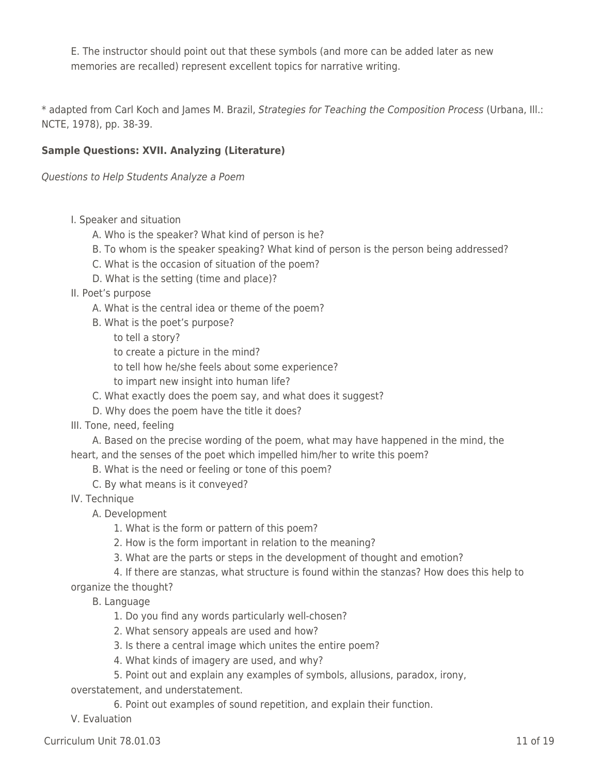E. The instructor should point out that these symbols (and more can be added later as new memories are recalled) represent excellent topics for narrative writing.

\* adapted from Carl Koch and James M. Brazil, Strategies for Teaching the Composition Process (Urbana, Ill.: NCTE, 1978), pp. 38-39.

### **Sample Questions: XVII. Analyzing (Literature)**

Questions to Help Students Analyze a Poem

- I. Speaker and situation
	- A. Who is the speaker? What kind of person is he?
	- B. To whom is the speaker speaking? What kind of person is the person being addressed?
	- C. What is the occasion of situation of the poem?
	- D. What is the setting (time and place)?
- II. Poet's purpose
	- A. What is the central idea or theme of the poem?
	- B. What is the poet's purpose?
		- to tell a story?
		- to create a picture in the mind?
		- to tell how he/she feels about some experience?
		- to impart new insight into human life?
	- C. What exactly does the poem say, and what does it suggest?
	- D. Why does the poem have the title it does?
- III. Tone, need, feeling

A. Based on the precise wording of the poem, what may have happened in the mind, the heart, and the senses of the poet which impelled him/her to write this poem?

- B. What is the need or feeling or tone of this poem?
- C. By what means is it conveyed?
- IV. Technique
	- \_\_\_\_ A. Development
		- 1. What is the form or pattern of this poem?
		- 2. How is the form important in relation to the meaning?
		- 3. What are the parts or steps in the development of thought and emotion?
- 4. If there are stanzas, what structure is found within the stanzas? How does this help to organize the thought?
	- B. Language
		- 1. Do you find any words particularly well-chosen?
		- 2. What sensory appeals are used and how?
		- 3. Is there a central image which unites the entire poem?
		- 4. What kinds of imagery are used, and why?
	- 5. Point out and explain any examples of symbols, allusions, paradox, irony,
- overstatement, and understatement.
	- 6. Point out examples of sound repetition, and explain their function.
- V. Evaluation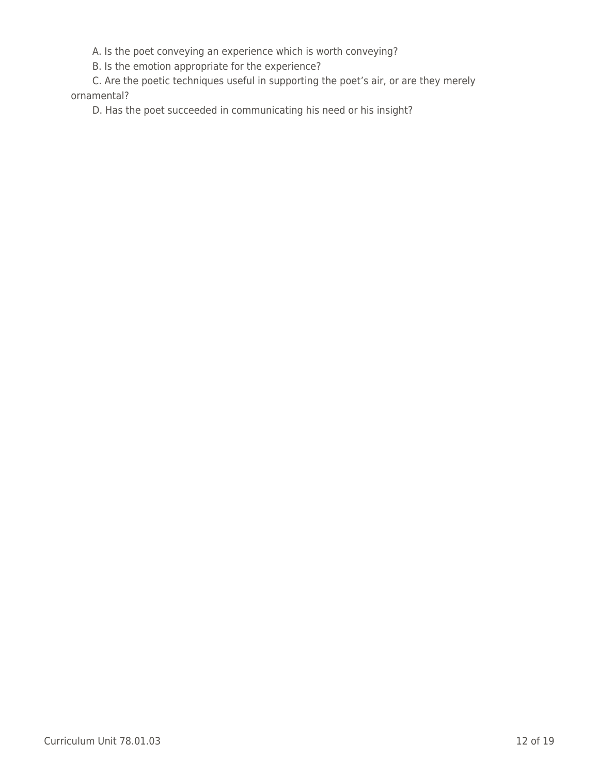A. Is the poet conveying an experience which is worth conveying?

B. Is the emotion appropriate for the experience?

C. Are the poetic techniques useful in supporting the poet's air, or are they merely ornamental?

D. Has the poet succeeded in communicating his need or his insight?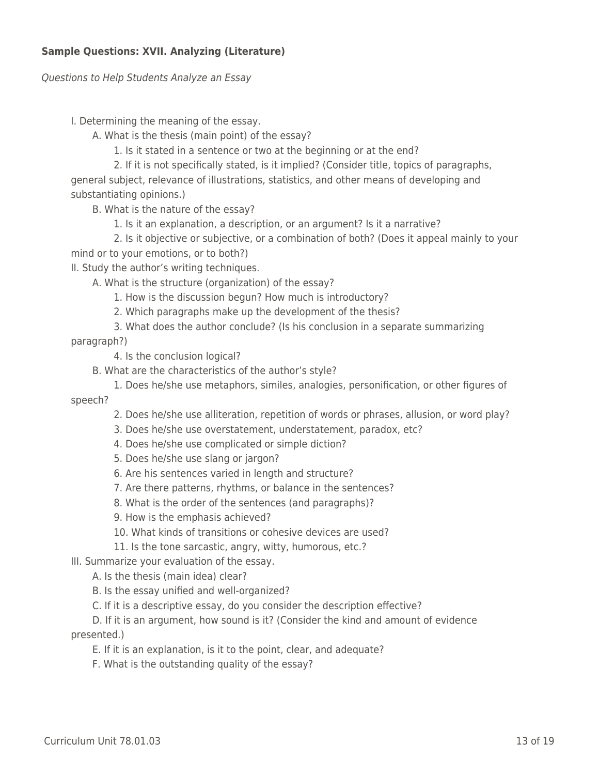### **Sample Questions: XVII. Analyzing (Literature)**

Questions to Help Students Analyze an Essay

I. Determining the meaning of the essay.

A. What is the thesis (main point) of the essay?

1. Is it stated in a sentence or two at the beginning or at the end?

2. If it is not specifically stated, is it implied? (Consider title, topics of paragraphs, general subject, relevance of illustrations, statistics, and other means of developing and substantiating opinions.)

B. What is the nature of the essay?

1. Is it an explanation, a description, or an argument? Is it a narrative?

2. Is it objective or subjective, or a combination of both? (Does it appeal mainly to your mind or to your emotions, or to both?)

II. Study the author's writing techniques.

A. What is the structure (organization) of the essay?

1. How is the discussion begun? How much is introductory?

2. Which paragraphs make up the development of the thesis?

3. What does the author conclude? (Is his conclusion in a separate summarizing

paragraph?)

4. Is the conclusion logical?

B. What are the characteristics of the author's style?

1. Does he/she use metaphors, similes, analogies, personification, or other figures of speech?

2. Does he/she use alliteration, repetition of words or phrases, allusion, or word play?

3. Does he/she use overstatement, understatement, paradox, etc?

4. Does he/she use complicated or simple diction?

5. Does he/she use slang or jargon?

6. Are his sentences varied in length and structure?

7. Are there patterns, rhythms, or balance in the sentences?

8. What is the order of the sentences (and paragraphs)?

9. How is the emphasis achieved?

10. What kinds of transitions or cohesive devices are used?

11. Is the tone sarcastic, angry, witty, humorous, etc.?

III. Summarize your evaluation of the essay.

A. Is the thesis (main idea) clear?

B. Is the essay unified and well-organized?

\_\_\_\_ C. If it is a descriptive essay, do you consider the description effective?

D. If it is an argument, how sound is it? (Consider the kind and amount of evidence presented.)

E. If it is an explanation, is it to the point, clear, and adequate?

F. What is the outstanding quality of the essay?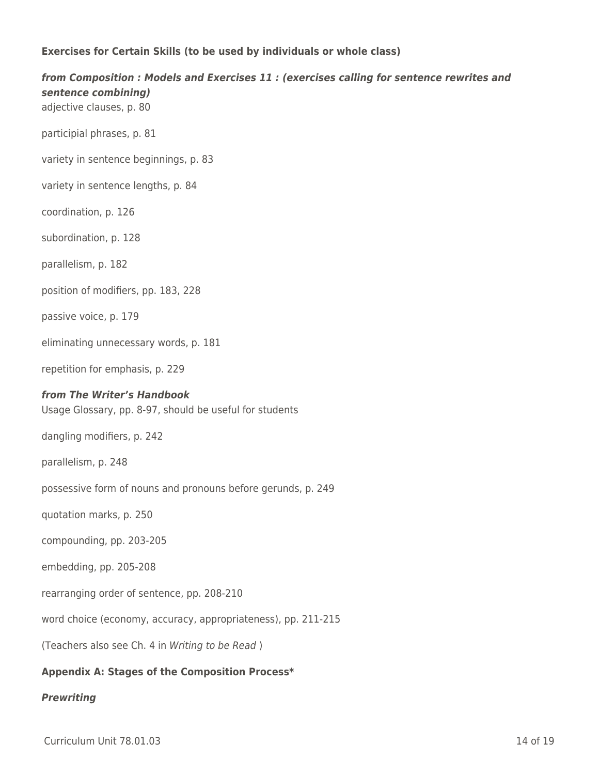### **Exercises for Certain Skills (to be used by individuals or whole class)**

### *from Composition : Models and Exercises 11 : (exercises calling for sentence rewrites and sentence combining)* adjective clauses, p. 80

participial phrases, p. 81

variety in sentence beginnings, p. 83

variety in sentence lengths, p. 84

coordination, p. 126

subordination, p. 128

parallelism, p. 182

position of modifiers, pp. 183, 228

passive voice, p. 179

eliminating unnecessary words, p. 181

repetition for emphasis, p. 229

#### *from The Writer's Handbook*

Usage Glossary, pp. 8-97, should be useful for students

dangling modifiers, p. 242

parallelism, p. 248

possessive form of nouns and pronouns before gerunds, p. 249

quotation marks, p. 250

compounding, pp. 203-205

embedding, pp. 205-208

rearranging order of sentence, pp. 208-210

word choice (economy, accuracy, appropriateness), pp. 211-215

(Teachers also see Ch. 4 in Writing to be Read )

### **Appendix A: Stages of the Composition Process\***

#### *Prewriting*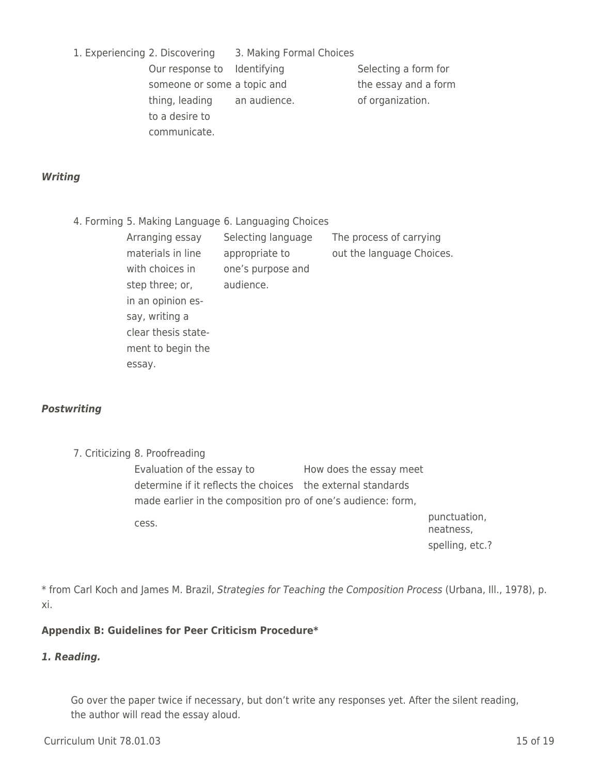1. Experiencing 2. Discovering 3. Making Formal Choices Our response to Identifying Selecting a form for someone or some a topic and the essay and a form thing, leading an audience. The of organization. to a desire to communicate.

### *Writing*

4. Forming 5. Making Language 6. Languaging Choices Arranging essay Selecting language The process of carrying materials in line appropriate to out the language Choices. with choices in one's purpose and step three; or, audience. in an opinion essay, writing a clear thesis statement to begin the essay.

### *Postwriting*

| Evaluation of the essay to<br>How does the essay meet<br>determine if it reflects the choices the external standards<br>made earlier in the composition pro of one's audience: form,<br>cess. | 7. Criticizing 8. Proofreading |                           |
|-----------------------------------------------------------------------------------------------------------------------------------------------------------------------------------------------|--------------------------------|---------------------------|
|                                                                                                                                                                                               |                                |                           |
|                                                                                                                                                                                               |                                |                           |
|                                                                                                                                                                                               |                                |                           |
|                                                                                                                                                                                               |                                | punctuation,<br>neatness, |
|                                                                                                                                                                                               |                                | spelling, etc.?           |

\* from Carl Koch and James M. Brazil, Strategies for Teaching the Composition Process (Urbana, Ill., 1978), p. xi.

### **Appendix B: Guidelines for Peer Criticism Procedure\***

### *1. Reading.*

Go over the paper twice if necessary, but don't write any responses yet. After the silent reading, the author will read the essay aloud.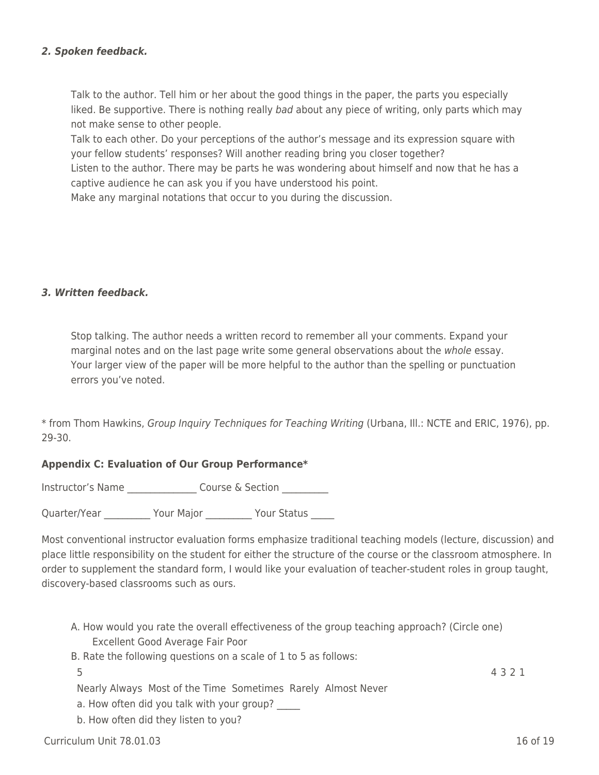### *2. Spoken feedback.*

Talk to the author. Tell him or her about the good things in the paper, the parts you especially liked. Be supportive. There is nothing really bad about any piece of writing, only parts which may not make sense to other people.

Talk to each other. Do your perceptions of the author's message and its expression square with your fellow students' responses? Will another reading bring you closer together?

Listen to the author. There may be parts he was wondering about himself and now that he has a captive audience he can ask you if you have understood his point.

Make any marginal notations that occur to you during the discussion.

### *3. Written feedback.*

Stop talking. The author needs a written record to remember all your comments. Expand your marginal notes and on the last page write some general observations about the whole essay. Your larger view of the paper will be more helpful to the author than the spelling or punctuation errors you've noted.

\* from Thom Hawkins, Group Inquiry Techniques for Teaching Writing (Urbana, Ill.: NCTE and ERIC, 1976), pp. 29-30.

### **Appendix C: Evaluation of Our Group Performance\***

Instructor's Name \_\_\_\_\_\_\_\_\_\_\_\_\_\_\_\_ Course & Section \_\_\_\_\_\_\_\_\_

Quarter/Year \_\_\_\_\_\_\_\_\_\_ Your Major \_\_\_\_\_\_\_\_\_ Your Status

Most conventional instructor evaluation forms emphasize traditional teaching models (lecture, discussion) and place little responsibility on the student for either the structure of the course or the classroom atmosphere. In order to supplement the standard form, I would like your evaluation of teacher-student roles in group taught, discovery-based classrooms such as ours.

- A. How would you rate the overall effectiveness of the group teaching approach? (Circle one) Excellent Good Average Fair Poor
- B. Rate the following questions on a scale of 1 to 5 as follows:
- 

5 4 3 2 1

- Nearly Always Most of the Time Sometimes Rarely Almost Never
- a. How often did you talk with your group?
- b. How often did they listen to you?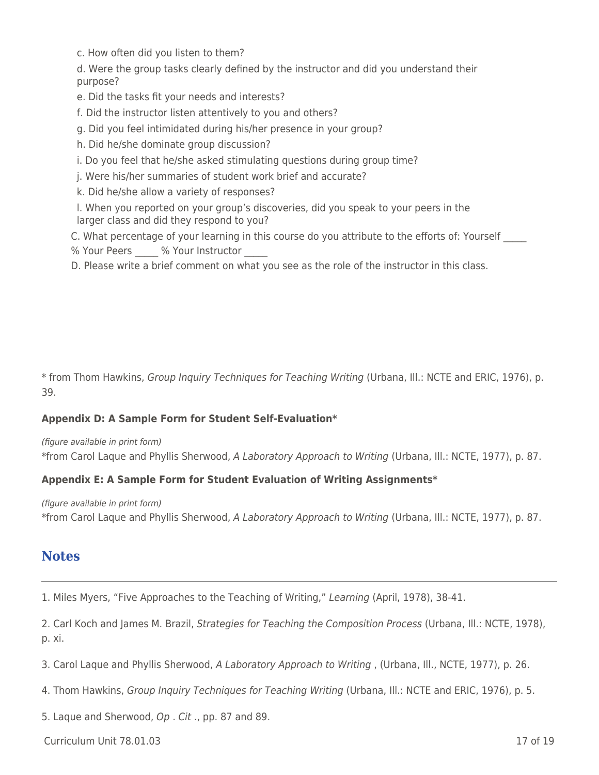c. How often did you listen to them?

d. Were the group tasks clearly defined by the instructor and did you understand their purpose?

e. Did the tasks fit your needs and interests?

- f. Did the instructor listen attentively to you and others?
- g. Did you feel intimidated during his/her presence in your group?
- h. Did he/she dominate group discussion?
- i. Do you feel that he/she asked stimulating questions during group time?
- j. Were his/her summaries of student work brief and accurate?

k. Did he/she allow a variety of responses?

l. When you reported on your group's discoveries, did you speak to your peers in the larger class and did they respond to you?

C. What percentage of your learning in this course do you attribute to the efforts of: Yourself \_\_\_\_\_

% Your Peers % Your Instructor

D. Please write a brief comment on what you see as the role of the instructor in this class.

\* from Thom Hawkins, Group Inquiry Techniques for Teaching Writing (Urbana, Ill.: NCTE and ERIC, 1976), p. 39.

#### **Appendix D: A Sample Form for Student Self-Evaluation\***

(figure available in print form)

\*from Carol Laque and Phyllis Sherwood, A Laboratory Approach to Writing (Urbana, Ill.: NCTE, 1977), p. 87.

#### **Appendix E: A Sample Form for Student Evaluation of Writing Assignments\***

(figure available in print form)

\*from Carol Laque and Phyllis Sherwood, A Laboratory Approach to Writing (Urbana, Ill.: NCTE, 1977), p. 87.

### **Notes**

1. Miles Myers, "Five Approaches to the Teaching of Writing," Learning (April, 1978), 38-41.

2. Carl Koch and James M. Brazil, Strategies for Teaching the Composition Process (Urbana, Ill.: NCTE, 1978), p. xi.

3. Carol Laque and Phyllis Sherwood, A Laboratory Approach to Writing, (Urbana, Ill., NCTE, 1977), p. 26.

4. Thom Hawkins, Group Inquiry Techniques for Teaching Writing (Urbana, Ill.: NCTE and ERIC, 1976), p. 5.

5. Laque and Sherwood, Op . Cit ., pp. 87 and 89.

Curriculum Unit 78.01.03 17 of 19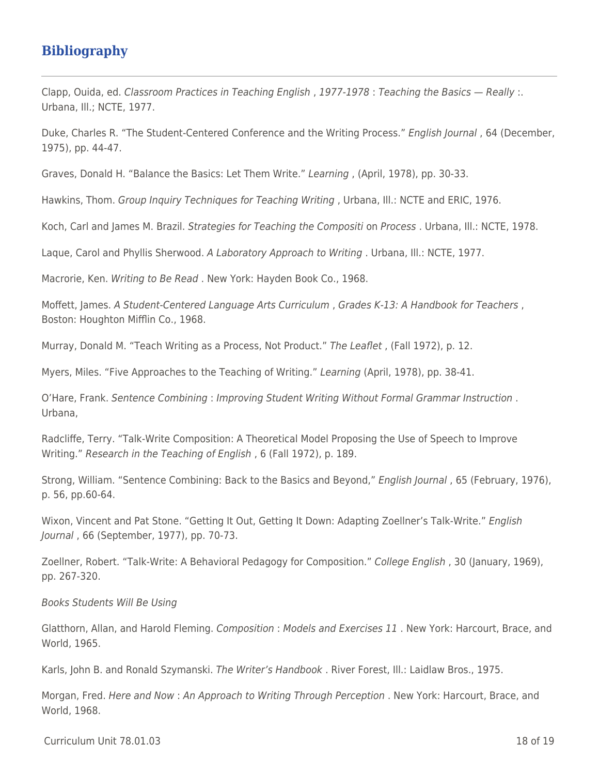## **Bibliography**

Clapp, Ouida, ed. Classroom Practices in Teaching English , 1977-1978 : Teaching the Basics — Really :. Urbana, Ill.; NCTE, 1977.

Duke, Charles R. "The Student-Centered Conference and the Writing Process." English Journal , 64 (December, 1975), pp. 44-47.

Graves, Donald H. "Balance the Basics: Let Them Write." Learning , (April, 1978), pp. 30-33.

Hawkins, Thom. Group Inquiry Techniques for Teaching Writing , Urbana, Ill.: NCTE and ERIC, 1976.

Koch, Carl and James M. Brazil. Strategies for Teaching the Compositi on Process. Urbana, Ill.: NCTE, 1978.

Laque, Carol and Phyllis Sherwood. A Laboratory Approach to Writing . Urbana, Ill.: NCTE, 1977.

Macrorie, Ken. Writing to Be Read . New York: Hayden Book Co., 1968.

Moffett, James. A Student-Centered Language Arts Curriculum , Grades K-13: A Handbook for Teachers , Boston: Houghton Mifflin Co., 1968.

Murray, Donald M. "Teach Writing as a Process, Not Product." The Leaflet, (Fall 1972), p. 12.

Myers, Miles. "Five Approaches to the Teaching of Writing." Learning (April, 1978), pp. 38-41.

O'Hare, Frank. Sentence Combining : Improving Student Writing Without Formal Grammar Instruction . Urbana,

Radcliffe, Terry. "Talk-Write Composition: A Theoretical Model Proposing the Use of Speech to Improve Writing." Research in the Teaching of English , 6 (Fall 1972), p. 189.

Strong, William. "Sentence Combining: Back to the Basics and Beyond," English Journal , 65 (February, 1976), p. 56, pp.60-64.

Wixon, Vincent and Pat Stone. "Getting It Out, Getting It Down: Adapting Zoellner's Talk-Write." English Journal , 66 (September, 1977), pp. 70-73.

Zoellner, Robert. "Talk-Write: A Behavioral Pedagogy for Composition." College English , 30 (January, 1969), pp. 267-320.

#### Books Students Will Be Using

Glatthorn, Allan, and Harold Fleming. Composition : Models and Exercises 11 . New York: Harcourt, Brace, and World, 1965.

Karls, John B. and Ronald Szymanski. The Writer's Handbook . River Forest, III.: Laidlaw Bros., 1975.

Morgan, Fred. Here and Now : An Approach to Writing Through Perception . New York: Harcourt, Brace, and World, 1968.